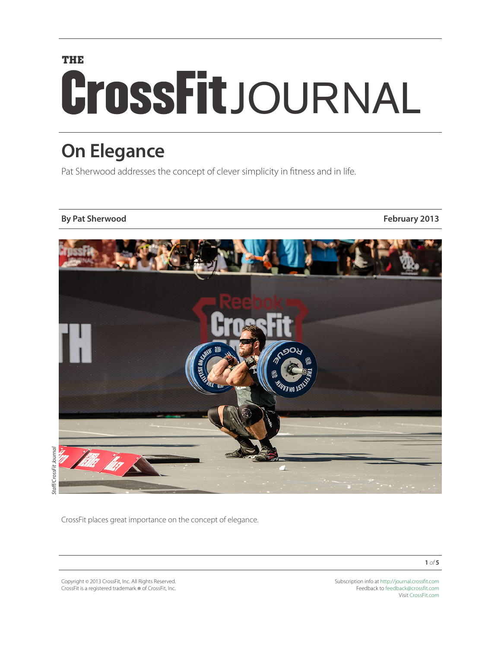# **THE** CrossFitJOURNAL

# **On Elegance**

Pat Sherwood addresses the concept of clever simplicity in fitness and in life.

### **By Pat Sherwood February 2013**



Staff/CrossFit Journal *Staff/CrossFit Journal*

CrossFit places great importance on the concept of elegance.

Copyright © 2013 CrossFit, Inc. All Rights Reserved. CrossFit is a registered trademark ® of CrossFit, Inc. Subscription info at <http://journal.crossfit.com> Feedback to [feedback@crossfit.com](mailto:feedback@crossfit.com) Visit [CrossFit.com](http://www.crossfit.com)

**1** *of* **5**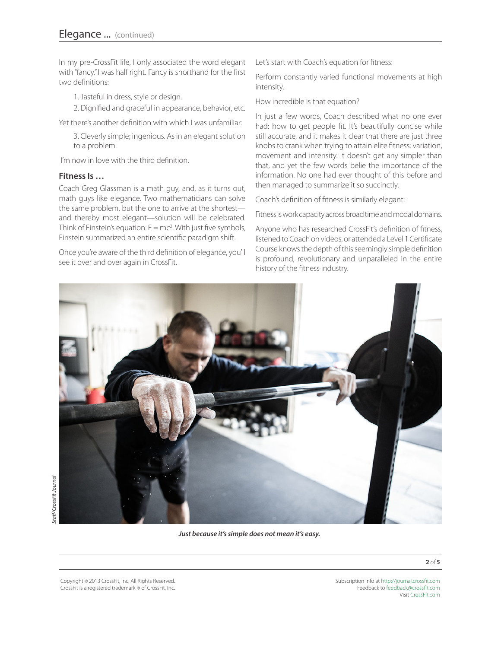In my pre-CrossFit life, I only associated the word elegant with "fancy." I was half right. Fancy is shorthand for the first two definitions:

1. Tasteful in dress, style or design.

2. Dignified and graceful in appearance, behavior, etc.

Yet there's another definition with which I was unfamiliar:

3. Cleverly simple; ingenious. As in an elegant solution to a problem.

I'm now in love with the third definition.

#### **Fitness Is …**

Coach Greg Glassman is a math guy, and, as it turns out, math guys like elegance. Two mathematicians can solve the same problem, but the one to arrive at the shortest and thereby most elegant—solution will be celebrated. Think of Einstein's equation:  $E = mc^2$ . With just five symbols, Einstein summarized an entire scientific paradigm shift.

Once you're aware of the third definition of elegance, you'll see it over and over again in CrossFit.

Let's start with Coach's equation for fitness:

Perform constantly varied functional movements at high intensity.

How incredible is that equation?

In just a few words, Coach described what no one ever had: how to get people fit. It's beautifully concise while still accurate, and it makes it clear that there are just three knobs to crank when trying to attain elite fitness: variation, movement and intensity. It doesn't get any simpler than that, and yet the few words belie the importance of the information. No one had ever thought of this before and then managed to summarize it so succinctly.

Coach's definition of fitness is similarly elegant:

Fitness is work capacity across broad time and modal domains.

Anyone who has researched CrossFit's definition of fitness, listened to Coach on videos, or attended a Level 1 Certificate Course knows the depth of this seemingly simple definition is profound, revolutionary and unparalleled in the entire history of the fitness industry.



*Just because it's simple does not mean it's easy.*

Copyright © 2013 CrossFit, Inc. All Rights Reserved. CrossFit is a registered trademark ® of CrossFit, Inc.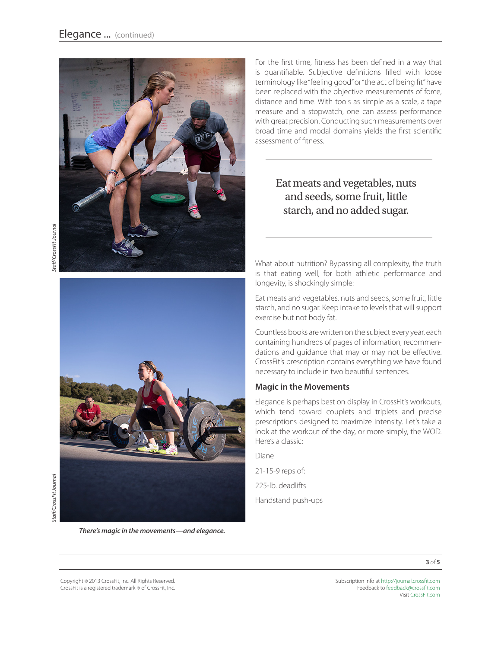

staff/CrossFit Journal *Staff/CrossFit Journal Staff/CrossFit Journal*



itaff/CrossFit Journal

*There's magic in the movements—and elegance.*

For the first time, fitness has been defined in a way that is quantifiable. Subjective definitions filled with loose terminology like "feeling good" or "the act of being fit" have been replaced with the objective measurements of force, distance and time. With tools as simple as a scale, a tape measure and a stopwatch, one can assess performance with great precision. Conducting such measurements over broad time and modal domains yields the first scientific assessment of fitness.

# Eat meats and vegetables, nuts and seeds, some fruit, little starch, and no added sugar.

What about nutrition? Bypassing all complexity, the truth is that eating well, for both athletic performance and longevity, is shockingly simple:

Eat meats and vegetables, nuts and seeds, some fruit, little starch, and no sugar. Keep intake to levels that will support exercise but not body fat.

Countless books are written on the subject every year, each containing hundreds of pages of information, recommendations and guidance that may or may not be effective. CrossFit's prescription contains everything we have found necessary to include in two beautiful sentences.

#### **Magic in the Movements**

Elegance is perhaps best on display in CrossFit's workouts, which tend toward couplets and triplets and precise prescriptions designed to maximize intensity. Let's take a look at the workout of the day, or more simply, the WOD. Here's a classic:

Diane

21-15-9 reps of:

225-lb. deadlifts

Handstand push-ups

**3** *of* **5**

Copyright © 2013 CrossFit, Inc. All Rights Reserved. CrossFit is a registered trademark ® of CrossFit, Inc.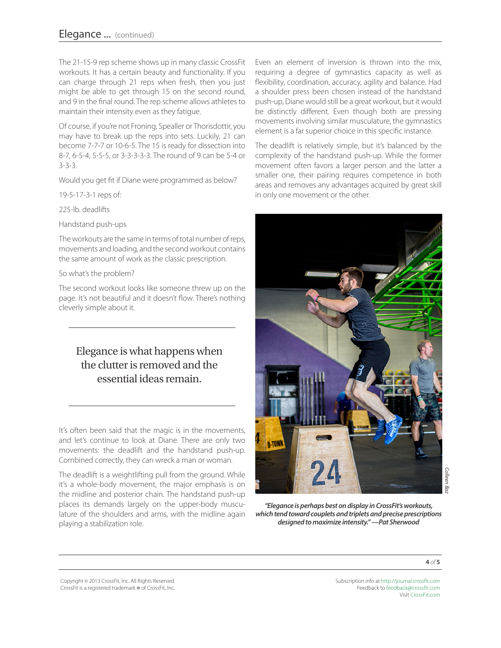The 21-15-9 rep scheme shows up in many classic CrossFit workouts. It has a certain beauty and functionality. If you can charge through 21 reps when fresh, then you just might be able to get through 15 on the second round, and 9 in the final round. The rep scheme allows athletes to maintain their intensity even as they fatigue.

Of course, if you're not Froning, Spealler or Thorisdottir, you may have to break up the reps into sets. Luckily, 21 can become 7-7-7 or 10-6-5. The 15 is ready for dissection into 8-7, 6-5-4, 5-5-5, or 3-3-3-3-3. The round of 9 can be 5-4 or 3-3-3.

Would you get fit if Diane were programmed as below?

19-5-17-3-1 reps of:

225-lb. deadlifts

Handstand push-ups

The workouts are the same in terms of total number of reps, movements and loading, and the second workout contains the same amount of work as the classic prescription.

#### So what's the problem?

The second workout looks like someone threw up on the page. It's not beautiful and it doesn't flow. There's nothing cleverly simple about it.

# Elegance is what happens when the clutter is removed and the essential ideas remain.

It's often been said that the magic is in the movements, and let's continue to look at Diane. There are only two movements: the deadlift and the handstand push-up. Combined correctly, they can wreck a man or woman.

The deadlift is a weightlifting pull from the ground. While it's a whole-body movement, the major emphasis is on the midline and posterior chain. The handstand push-up places its demands largely on the upper-body musculature of the shoulders and arms, with the midline again playing a stabilization role.

Even an element of inversion is thrown into the mix, requiring a degree of gymnastics capacity as well as flexibility, coordination, accuracy, agility and balance. Had a shoulder press been chosen instead of the handstand push-up, Diane would still be a great workout, but it would be distinctly different. Even though both are pressing movements involving similar musculature, the gymnastics element is a far superior choice in this specific instance.

The deadlift is relatively simple, but it's balanced by the complexity of the handstand push-up. While the former movement often favors a larger person and the latter a smaller one, their pairing requires competence in both areas and removes any advantages acquired by great skill in only one movement or the other.



*"Elegance is perhaps best on display in CrossFit's workouts, which tend toward couplets and triplets and precise prescriptions designed to maximize intensity." —Pat Sherwood*

**4** *of* **5**

Copyright © 2013 CrossFit, Inc. All Rights Reserved. CrossFit is a registered trademark ® of CrossFit, Inc.